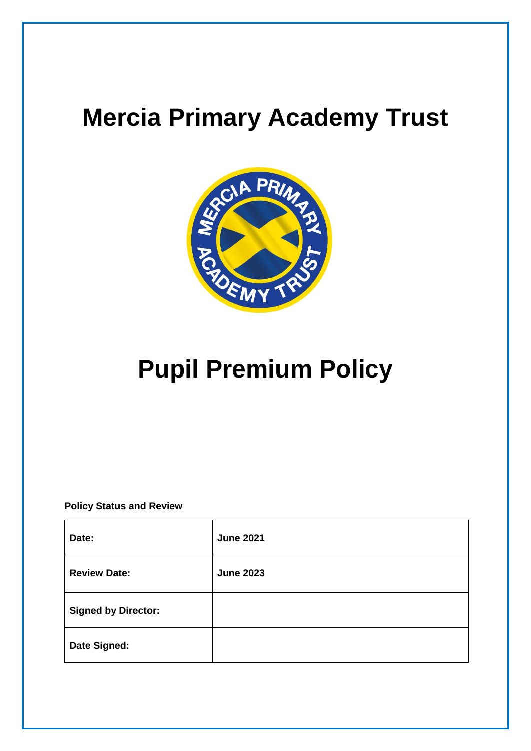# **Mercia Primary Academy Trust**



# **Pupil Premium Policy**

**Policy Status and Review**

| Date:                      | <b>June 2021</b> |
|----------------------------|------------------|
| <b>Review Date:</b>        | <b>June 2023</b> |
| <b>Signed by Director:</b> |                  |
| Date Signed:               |                  |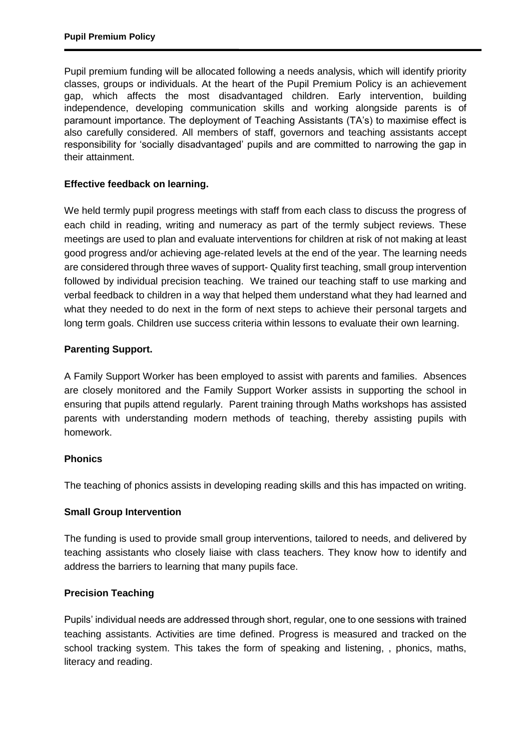Pupil premium funding will be allocated following a needs analysis, which will identify priority classes, groups or individuals. At the heart of the Pupil Premium Policy is an achievement gap, which affects the most disadvantaged children. Early intervention, building independence, developing communication skills and working alongside parents is of paramount importance. The deployment of Teaching Assistants (TA's) to maximise effect is also carefully considered. All members of staff, governors and teaching assistants accept responsibility for 'socially disadvantaged' pupils and are committed to narrowing the gap in their attainment.

### **Effective feedback on learning.**

We held termly pupil progress meetings with staff from each class to discuss the progress of each child in reading, writing and numeracy as part of the termly subject reviews. These meetings are used to plan and evaluate interventions for children at risk of not making at least good progress and/or achieving age-related levels at the end of the year. The learning needs are considered through three waves of support- Quality first teaching, small group intervention followed by individual precision teaching. We trained our teaching staff to use marking and verbal feedback to children in a way that helped them understand what they had learned and what they needed to do next in the form of next steps to achieve their personal targets and long term goals. Children use success criteria within lessons to evaluate their own learning.

### **Parenting Support.**

A Family Support Worker has been employed to assist with parents and families. Absences are closely monitored and the Family Support Worker assists in supporting the school in ensuring that pupils attend regularly. Parent training through Maths workshops has assisted parents with understanding modern methods of teaching, thereby assisting pupils with homework.

#### **Phonics**

The teaching of phonics assists in developing reading skills and this has impacted on writing.

#### **Small Group Intervention**

The funding is used to provide small group interventions, tailored to needs, and delivered by teaching assistants who closely liaise with class teachers. They know how to identify and address the barriers to learning that many pupils face.

## **Precision Teaching**

Pupils' individual needs are addressed through short, regular, one to one sessions with trained teaching assistants. Activities are time defined. Progress is measured and tracked on the school tracking system. This takes the form of speaking and listening, , phonics, maths, literacy and reading.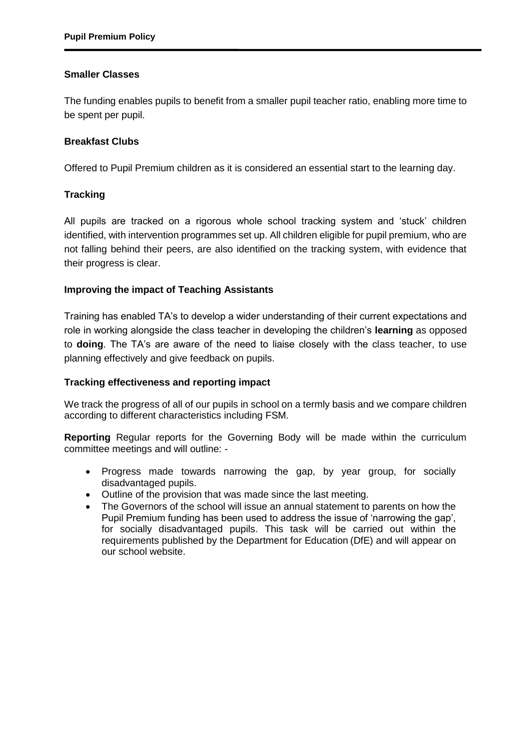#### **Smaller Classes**

The funding enables pupils to benefit from a smaller pupil teacher ratio, enabling more time to be spent per pupil.

#### **Breakfast Clubs**

Offered to Pupil Premium children as it is considered an essential start to the learning day.

#### **Tracking**

All pupils are tracked on a rigorous whole school tracking system and 'stuck' children identified, with intervention programmes set up. All children eligible for pupil premium, who are not falling behind their peers, are also identified on the tracking system, with evidence that their progress is clear.

#### **Improving the impact of Teaching Assistants**

Training has enabled TA's to develop a wider understanding of their current expectations and role in working alongside the class teacher in developing the children's **learning** as opposed to **doing**. The TA's are aware of the need to liaise closely with the class teacher, to use planning effectively and give feedback on pupils.

#### **Tracking effectiveness and reporting impact**

We track the progress of all of our pupils in school on a termly basis and we compare children according to different characteristics including FSM.

**Reporting** Regular reports for the Governing Body will be made within the curriculum committee meetings and will outline: -

- Progress made towards narrowing the gap, by year group, for socially disadvantaged pupils.
- Outline of the provision that was made since the last meeting.
- The Governors of the school will issue an annual statement to parents on how the Pupil Premium funding has been used to address the issue of 'narrowing the gap', for socially disadvantaged pupils. This task will be carried out within the requirements published by the Department for Education (DfE) and will appear on our school website.